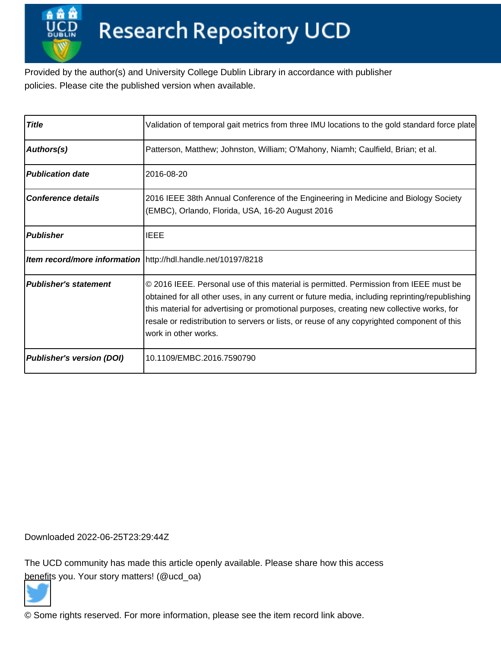Provided by the author(s) and University College Dublin Library in accordance with publisher policies. Please cite the published version when available.

| <b>Title</b>                     | Validation of temporal gait metrics from three IMU locations to the gold standard force plate                                                                                                                                                                                                                                                                                                               |
|----------------------------------|-------------------------------------------------------------------------------------------------------------------------------------------------------------------------------------------------------------------------------------------------------------------------------------------------------------------------------------------------------------------------------------------------------------|
| Authors(s)                       | Patterson, Matthew; Johnston, William; O'Mahony, Niamh; Caulfield, Brian; et al.                                                                                                                                                                                                                                                                                                                            |
| <b>Publication date</b>          | 2016-08-20                                                                                                                                                                                                                                                                                                                                                                                                  |
| <b>Conference details</b>        | 2016 IEEE 38th Annual Conference of the Engineering in Medicine and Biology Society<br>(EMBC), Orlando, Florida, USA, 16-20 August 2016                                                                                                                                                                                                                                                                     |
| <b>Publisher</b>                 | IEEE                                                                                                                                                                                                                                                                                                                                                                                                        |
|                                  | Item record/more information http://hdl.handle.net/10197/8218                                                                                                                                                                                                                                                                                                                                               |
| <b>Publisher's statement</b>     | © 2016 IEEE. Personal use of this material is permitted. Permission from IEEE must be<br>obtained for all other uses, in any current or future media, including reprinting/republishing<br>this material for advertising or promotional purposes, creating new collective works, for<br>resale or redistribution to servers or lists, or reuse of any copyrighted component of this<br>work in other works. |
| <b>Publisher's version (DOI)</b> | 10.1109/EMBC.2016.7590790                                                                                                                                                                                                                                                                                                                                                                                   |

Downloaded 2022-06-25T23:29:44Z

The UCD community has made this article openly available. Please share how this access [benefit](https://twitter.com/intent/tweet?via=ucd_oa&text=DOI%3A10.1109%2FEMBC.2016.7590790&url=http%3A%2F%2Fhdl.handle.net%2F10197%2F8218)s you. Your story matters! (@ucd\_oa)



© Some rights reserved. For more information, please see the item record link above.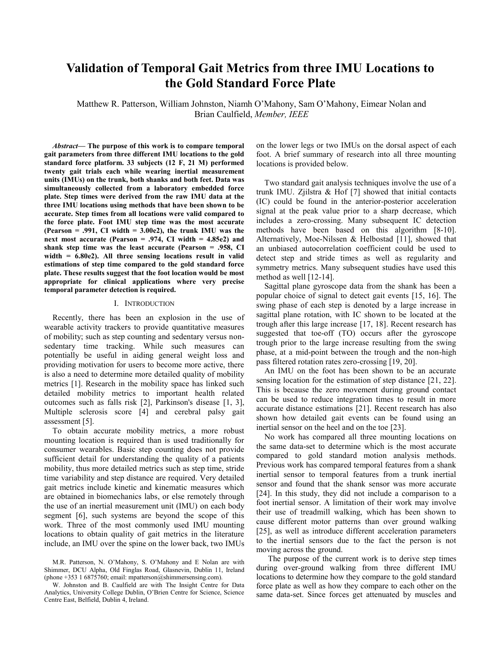# **Validation of Temporal Gait Metrics from three IMU Locations to** the Gold Standard Force Plate

Matthew R. Patterson, William Johnston, Niamh O'Mahony, Sam O'Mahony, Eimear Nolan and Brian Caulfield, Member, IEEE

*Abstract*— The purpose of this work is to compare temporal gait parameters from three different IMU locations to the gold standard force platform. 33 subjects (12 F, 21 M) performed twenty gait trials each while wearing inertial measurement units (IMUs) on the trunk, both shanks and both feet. Data was simultaneously collected from a laboratory embedded force plate. Step times were derived from the raw IMU data at the three IMU locations using methods that have been shown to be accurate. Step times from all locations were valid compared to the force plate. Foot IMU step time was the most accurate (Pearson = .991, CI width =  $3.00e2$ ), the trunk IMU was the next most accurate (Pearson = .974, CI width =  $4.85e2$ ) and shank step time was the least accurate (Pearson = .958, CI width  $= 6.80e2$ ). All three sensing locations result in valid estimations of step time compared to the gold standard force plate. These results suggest that the foot location would be most appropriate for clinical applications where very precise temporal parameter detection is required.

#### I. INTRODUCTION

Recently, there has been an explosion in the use of wearable activity trackers to provide quantitative measures of mobility; such as step counting and sedentary versus nonsedentary time tracking. While such measures can potentially be useful in aiding general weight loss and providing motivation for users to become more active, there is also a need to determine more detailed quality of mobility metrics [1]. Research in the mobility space has linked such detailed mobility metrics to important health related outcomes such as falls risk [2], Parkinson's disease [1, 3], Multiple sclerosis score [4] and cerebral palsy gait assessment [5].

To obtain accurate mobility metrics, a more robust mounting location is required than is used traditionally for consumer wearables. Basic step counting does not provide sufficient detail for understanding the quality of a patients mobility, thus more detailed metrics such as step time, stride time variability and step distance are required. Very detailed gait metrics include kinetic and kinematic measures which are obtained in biomechanics labs, or else remotely through the use of an inertial measurement unit (IMU) on each body segment [6], such systems are beyond the scope of this work. Three of the most commonly used IMU mounting locations to obtain quality of gait metrics in the literature include, an IMU over the spine on the lower back, two IMUs

W. Johnston and B. Caulfield are with The Insight Centre for Data Analytics, University College Dublin, O'Brien Centre for Science, Science Centre East, Belfield, Dublin 4, Ireland.

on the lower legs or two IMUs on the dorsal aspect of each foot. A brief summary of research into all three mounting locations is provided below.

Two standard gait analysis techniques involve the use of a trunk IMU. Zjilstra  $\&$  Hof [7] showed that initial contacts (IC) could be found in the anterior-posterior acceleration signal at the peak value prior to a sharp decrease, which includes a zero-crossing. Many subsequent IC detection methods have been based on this algorithm [8-10]. Alternatively, Moe-Nilssen & Helbostad [11], showed that an unbiased autocorrelation coefficient could be used to detect step and stride times as well as regularity and symmetry metrics. Many subsequent studies have used this method as well  $[12-14]$ .

Sagittal plane gyroscope data from the shank has been a popular choice of signal to detect gait events [15, 16]. The swing phase of each step is denoted by a large increase in sagittal plane rotation, with IC shown to be located at the trough after this large increase [17, 18]. Recent research has suggested that toe-off (TO) occurs after the gyroscope trough prior to the large increase resulting from the swing phase, at a mid-point between the trough and the non-high pass filtered rotation rates zero-crossing [19, 20].

An IMU on the foot has been shown to be an accurate sensing location for the estimation of step distance [21, 22]. This is because the zero movement during ground contact can be used to reduce integration times to result in more accurate distance estimations [21]. Recent research has also shown how detailed gait events can be found using an inertial sensor on the heel and on the toe [23].

No work has compared all three mounting locations on the same data-set to determine which is the most accurate compared to gold standard motion analysis methods. Previous work has compared temporal features from a shank inertial sensor to temporal features from a trunk inertial sensor and found that the shank sensor was more accurate [24]. In this study, they did not include a comparison to a foot inertial sensor. A limitation of their work may involve their use of treadmill walking, which has been shown to cause different motor patterns than over ground walking [25], as well as introduce different acceleration parameters to the inertial sensors due to the fact the person is not moving across the ground.

The purpose of the current work is to derive step times during over-ground walking from three different IMU locations to determine how they compare to the gold standard force plate as well as how they compare to each other on the same data-set. Since forces get attenuated by muscles and

M.R. Patterson, N. O'Mahony, S. O'Mahony and E Nolan are with Shimmer, DCU Alpha, Old Finglas Road, Glasnevin, Dublin 11, Ireland (phone +353 1 6875760; email: mpatterson@shimmersensing.com).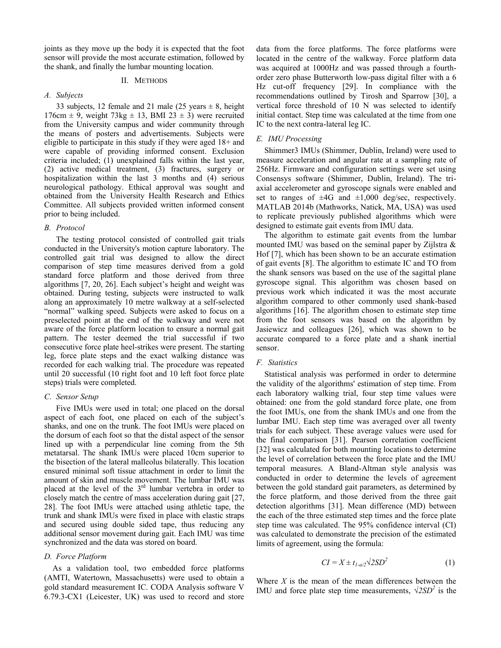joints as they move up the body it is expected that the foot sensor will provide the most accurate estimation, followed by the shank, and finally the lumbar mounting location.

## II. METHODS

# A. Subjects

33 subjects, 12 female and 21 male (25 years  $\pm$  8, height 176cm  $\pm$  9, weight 73kg  $\pm$  13, BMI 23  $\pm$  3) were recruited from the University campus and wider community through the means of posters and advertisements. Subjects were eligible to participate in this study if they were aged  $18+$  and were capable of providing informed consent. Exclusion criteria included; (1) unexplained falls within the last year, (2) active medical treatment, (3) fractures, surgery or hospitalization within the last 3 months and (4) serious neurological pathology. Ethical approval was sought and obtained from the University Health Research and Ethics Committee. All subjects provided written informed consent prior to being included.

# **B.** Protocol

The testing protocol consisted of controlled gait trials conducted in the University's motion capture laboratory. The controlled gait trial was designed to allow the direct comparison of step time measures derived from a gold standard force platform and those derived from three algorithms [7, 20, 26]. Each subject's height and weight was obtained. During testing, subjects were instructed to walk along an approximately 10 metre walkway at a self-selected "normal" walking speed. Subjects were asked to focus on a preselected point at the end of the walkway and were not aware of the force platform location to ensure a normal gait pattern. The tester deemed the trial successful if two consecutive force plate heel-strikes were present. The starting leg, force plate steps and the exact walking distance was recorded for each walking trial. The procedure was repeated until 20 successful (10 right foot and 10 left foot force plate steps) trials were completed.

#### C. Sensor Setup

Five IMUs were used in total; one placed on the dorsal aspect of each foot, one placed on each of the subject's shanks, and one on the trunk. The foot IMUs were placed on the dorsum of each foot so that the distal aspect of the sensor lined up with a perpendicular line coming from the 5th metatarsal. The shank IMUs were placed 10cm superior to the bisection of the lateral malleolus bilaterally. This location ensured minimal soft tissue attachment in order to limit the amount of skin and muscle movement. The lumbar IMU was placed at the level of the  $3<sup>rd</sup>$  lumbar vertebra in order to closely match the centre of mass acceleration during gait [27, 28. The foot IMUs were attached using athletic tape, the trunk and shank IMUs were fixed in place with elastic straps and secured using double sided tape, thus reducing any additional sensor movement during gait. Each IMU was time synchronized and the data was stored on board.

## D. Force Platform

As a validation tool, two embedded force platforms (AMTI, Watertown, Massachusetts) were used to obtain a gold standard measurement IC. CODA Analysis software V 6.79.3-CX1 (Leicester, UK) was used to record and store data from the force platforms. The force platforms were located in the centre of the walkway. Force platform data was acquired at 1000Hz and was passed through a fourthorder zero phase Butterworth low-pass digital filter with a 6 Hz cut-off frequency [29]. In compliance with the recommendations outlined by Tirosh and Sparrow [30], a vertical force threshold of 10 N was selected to identify initial contact. Step time was calculated at the time from one IC to the next contra-lateral leg IC.

# E. IMU Processing

Shimmer3 IMUs (Shimmer, Dublin, Ireland) were used to measure acceleration and angular rate at a sampling rate of 256Hz. Firmware and configuration settings were set using Consensys software (Shimmer, Dublin, Ireland). The triaxial accelerometer and gyroscope signals were enabled and set to ranges of  $\pm 4G$  and  $\pm 1,000$  deg/sec, respectively. MATLAB 2014b (Mathworks, Natick, MA, USA) was used to replicate previously published algorithms which were designed to estimate gait events from IMU data.

The algorithm to estimate gait events from the lumbar mounted IMU was based on the seminal paper by Zijlstra  $\&$ Hof [7], which has been shown to be an accurate estimation of gait events [8]. The algorithm to estimate IC and TO from the shank sensors was based on the use of the sagittal plane gyroscope signal. This algorithm was chosen based on previous work which indicated it was the most accurate algorithm compared to other commonly used shank-based algorithms [16]. The algorithm chosen to estimate step time from the foot sensors was based on the algorithm by Jasiewicz and colleagues [26], which was shown to be accurate compared to a force plate and a shank inertial sensor.

## F. Statistics

Statistical analysis was performed in order to determine the validity of the algorithms' estimation of step time. From each laboratory walking trial, four step time values were obtained: one from the gold standard force plate, one from the foot IMUs, one from the shank IMUs and one from the lumbar IMU. Each step time was averaged over all twenty trials for each subject. These average values were used for the final comparison [31]. Pearson correlation coefficient [32] was calculated for both mounting locations to determine the level of correlation between the force plate and the IMU temporal measures. A Bland-Altman style analysis was conducted in order to determine the levels of agreement between the gold standard gait parameters, as determined by the force platform, and those derived from the three gait detection algorithms [31]. Mean difference (MD) between the each of the three estimated step times and the force plate step time was calculated. The 95% confidence interval (CI) was calculated to demonstrate the precision of the estimated limits of agreement, using the formula:

$$
CI = X \pm t_{1-a/2} \sqrt{2SD^2} \tag{1}
$$

Where  $X$  is the mean of the mean differences between the IMU and force plate step time measurements,  $\sqrt{2SD^2}$  is the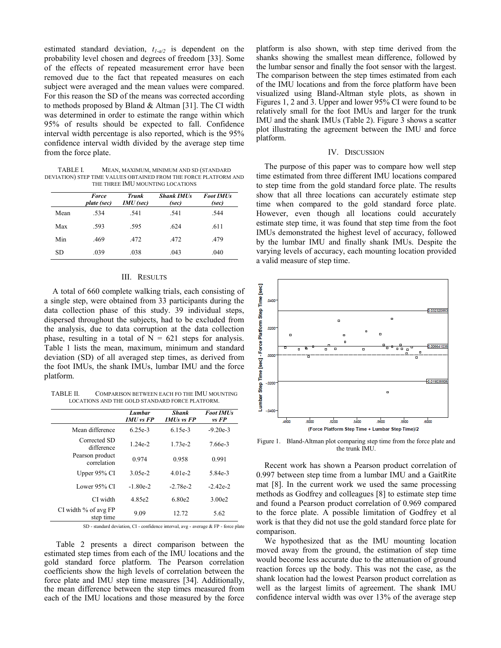estimated standard deviation,  $t_{I-a/2}$  is dependent on the probability level chosen and degrees of freedom [33]. Some of the effects of repeated measurement error have been removed due to the fact that repeated measures on each subject were averaged and the mean values were compared. For this reason the SD of the means was corrected according to methods proposed by Bland & Altman [31]. The CI width was determined in order to estimate the range within which 95% of results should be expected to fall. Confidence interval width percentage is also reported, which is the 95% confidence interval width divided by the average step time from the force plate.

**TABLE I.** MEAN, MAXIMUM, MINIMUM AND SD (STANDARD DEVIATION) STEP TIME VALUES OBTAINED FROM THE FORCE PLATFORM AND THE THREE IMU MOUNTING LOCATIONS

|      | <b>Force</b><br>plate (sec) | <b>Trunk</b><br>IMU (sec) | <b>Shank IMUs</b><br>(sec) | <b>Foot IMUs</b><br>(sec) |
|------|-----------------------------|---------------------------|----------------------------|---------------------------|
| Mean | .534                        | .541                      | .541                       | .544                      |
| Max  | .593                        | .595                      | .624                       | .611                      |
| Min  | .469                        | .472                      | .472                       | .479                      |
| SD   | .039                        | .038                      | .043                       | .040                      |

# III. RESULTS

A total of 660 complete walking trials, each consisting of a single step, were obtained from 33 participants during the data collection phase of this study. 39 individual steps, dispersed throughout the subjects, had to be excluded from the analysis, due to data corruption at the data collection phase, resulting in a total of  $N = 621$  steps for analysis. Table 1 lists the mean, maximum, minimum and standard deviation (SD) of all averaged step times, as derived from the foot IMUs, the shank IMUs, lumbar IMU and the force platform.

TABLE II. COMPARISON BETWEEN EACH FO THE IMU MOUNTING LOCATIONS AND THE GOLD STANDARD FORCE PLATFORM.

|                                   | Lumbar<br>$IMU$ vs $FP$ | Shank<br>$IMUs$ vs $FP$ | <b>Foot IMUs</b><br>vs FP |
|-----------------------------------|-------------------------|-------------------------|---------------------------|
| Mean difference                   | 6.25e-3                 | $6.15e-3$               | $-9.20e-3$                |
| Corrected SD<br>difference        | $124e-2$                | $173e-2$                | 7.66e-3                   |
| Pearson product<br>correlation    | 0.974                   | 0.958                   | 0.991                     |
| Upper 95% CI                      | $3.05e-2$               | $401e-2$                | 5.84e-3                   |
| Lower 95% CI<br>CI width          | $-1.80e-2$              | $-2.78e-2$              | $-2.42e-2$                |
|                                   | 4.85e2                  | 6.80e2                  | 3.00e2                    |
| CI width % of avg FP<br>step time | 9.09                    | 12.72                   | 5.62                      |

SD - standard deviation, CI - confidence interval, avg - average & FP - force plate

Table 2 presents a direct comparison between the estimated step times from each of the IMU locations and the gold standard force platform. The Pearson correlation coefficients show the high levels of correlation between the force plate and IMU step time measures [34]. Additionally, the mean difference between the step times measured from each of the IMU locations and those measured by the force platform is also shown, with step time derived from the shanks showing the smallest mean difference, followed by the lumbar sensor and finally the foot sensor with the largest. The comparison between the step times estimated from each of the IMU locations and from the force platform have been visualized using Bland-Altman style plots, as shown in Figures 1, 2 and 3. Upper and lower 95% CI were found to be relatively small for the foot IMUs and larger for the trunk IMU and the shank IMUs (Table 2). Figure 3 shows a scatter plot illustrating the agreement between the IMU and force platform.

#### IV. DISCUSSION

The purpose of this paper was to compare how well step time estimated from three different IMU locations compared to step time from the gold standard force plate. The results show that all three locations can accurately estimate step time when compared to the gold standard force plate. However, even though all locations could accurately estimate step time, it was found that step time from the foot IMUs demonstrated the highest level of accuracy, followed by the lumbar IMU and finally shank IMUs. Despite the varying levels of accuracy, each mounting location provided a valid measure of step time.



Figure 1. Bland-Altman plot comparing step time from the force plate and the trunk IMU.

Recent work has shown a Pearson product correlation of 0.997 between step time from a lumbar IMU and a GaitRite mat [8]. In the current work we used the same processing methods as Godfrey and colleagues [8] to estimate step time and found a Pearson product correlation of 0.969 compared to the force plate. A possible limitation of Godfrey et all work is that they did not use the gold standard force plate for comparison.

We hypothesized that as the IMU mounting location moved away from the ground, the estimation of step time would become less accurate due to the attenuation of ground reaction forces up the body. This was not the case, as the shank location had the lowest Pearson product correlation as well as the largest limits of agreement. The shank IMU confidence interval width was over 13% of the average step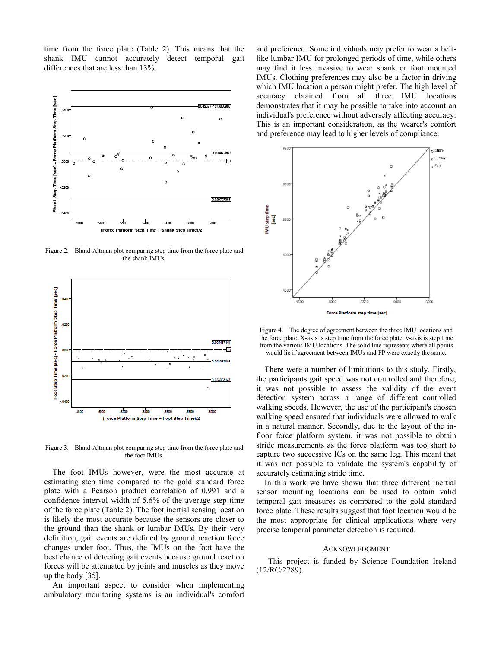time from the force plate (Table 2). This means that the shank IMU cannot accurately detect temporal gait differences that are less than 13%.



Figure 2. Bland-Altman plot comparing step time from the force plate and the shank IMUs.



Figure 3. Bland-Altman plot comparing step time from the force plate and the foot IMUs.

The foot IMUs however, were the most accurate at estimating step time compared to the gold standard force plate with a Pearson product correlation of 0.991 and a confidence interval width of 5.6% of the average step time of the force plate (Table 2). The foot inertial sensing location is likely the most accurate because the sensors are closer to the ground than the shank or lumbar IMUs. By their very definition, gait events are defined by ground reaction force changes under foot. Thus, the IMUs on the foot have the best chance of detecting gait events because ground reaction forces will be attenuated by joints and muscles as they move up the body  $[35]$ .

An important aspect to consider when implementing ambulatory monitoring systems is an individual's comfort and preference. Some individuals may prefer to wear a beltlike lumbar IMU for prolonged periods of time, while others may find it less invasive to wear shank or foot mounted IMUs. Clothing preferences may also be a factor in driving which IMU location a person might prefer. The high level of accuracy obtained from all three IMU locations demonstrates that it may be possible to take into account an individual's preference without adversely affecting accuracy. This is an important consideration, as the wearer's comfort and preference may lead to higher levels of compliance.



Figure 4. The degree of agreement between the three IMU locations and the force plate. X-axis is step time from the force plate, y-axis is step time from the various IMU locations. The solid line represents where all points would lie if agreement between IMUs and FP were exactly the same.

There were a number of limitations to this study. Firstly, the participants gait speed was not controlled and therefore, it was not possible to assess the validity of the event detection system across a range of different controlled walking speeds. However, the use of the participant's chosen walking speed ensured that individuals were allowed to walk in a natural manner. Secondly, due to the layout of the infloor force platform system, it was not possible to obtain stride measurements as the force platform was too short to capture two successive ICs on the same leg. This meant that it was not possible to validate the system's capability of accurately estimating stride time.

In this work we have shown that three different inertial sensor mounting locations can be used to obtain valid temporal gait measures as compared to the gold standard force plate. These results suggest that foot location would be the most appropriate for clinical applications where very precise temporal parameter detection is required.

## **ACKNOWLEDGMENT**

This project is funded by Science Foundation Ireland  $(12/RC/2289)$ .